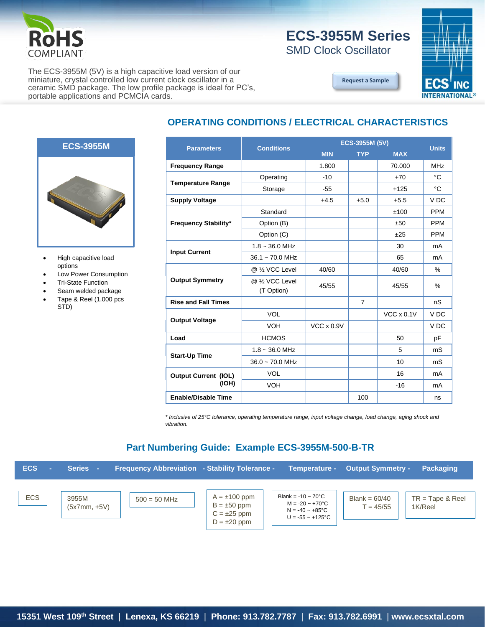

## **ECS-3955M Series**

**[Request a Sample](http://ecsxtalportal.com/samplepilot/samplerequest.php)**

SMD Clock Oscillator

The ECS-3955M (5V) is a high capacitive load version of our miniature, crystal controlled low current clock oscillator in a ceramic SMD package. The low profile package is ideal for PC's, portable applications and PCMCIA cards.



### **OPERATING CONDITIONS / ELECTRICAL CHARACTERISTICS**



- High capacitive load options
- Low Power Consumption
- Tri-State Function
- Seam welded package
- Tape & Reel (1,000 pcs STD)

| <b>Parameters</b>                    | <b>Conditions</b>                         | ECS-3955M (5V)    |                |                   | <b>Units</b>    |
|--------------------------------------|-------------------------------------------|-------------------|----------------|-------------------|-----------------|
|                                      |                                           | <b>MIN</b>        | <b>TYP</b>     | <b>MAX</b>        |                 |
| <b>Frequency Range</b>               |                                           | 1.800             |                | 70.000            | <b>MHz</b>      |
| <b>Temperature Range</b>             | Operating                                 | $-10$             |                | $+70$             | $^{\circ}C$     |
|                                      | Storage                                   | $-55$             |                | $+125$            | °C              |
| <b>Supply Voltage</b>                |                                           | $+4.5$            | $+5.0$         | $+5.5$            | V DC            |
| <b>Frequency Stability*</b>          | Standard                                  |                   |                | ±100              | <b>PPM</b>      |
|                                      | Option (B)                                |                   |                | ±50               | <b>PPM</b>      |
|                                      | Option (C)                                |                   |                | ±25               | <b>PPM</b>      |
| <b>Input Current</b>                 | $1.8 - 36.0$ MHz                          |                   |                | 30                | mA              |
|                                      | $36.1 - 70.0$ MHz                         |                   |                | 65                | mA              |
| <b>Output Symmetry</b>               | @ 1/2 VCC Level                           | 40/60             |                | 40/60             | %               |
|                                      | @ 1/ <sub>2</sub> VCC Level<br>(T Option) | 45/55             |                | 45/55             | %               |
| <b>Rise and Fall Times</b>           |                                           |                   | $\overline{7}$ |                   | nS              |
| <b>Output Voltage</b>                | <b>VOL</b>                                |                   |                | $VCC \times 0.1V$ | V <sub>DC</sub> |
|                                      | <b>VOH</b>                                | $VCC \times 0.9V$ |                |                   | V <sub>DC</sub> |
| Load                                 | <b>HCMOS</b>                              |                   |                | 50                | pF              |
| <b>Start-Up Time</b>                 | $1.8 - 36.0$ MHz                          |                   |                | 5                 | mS              |
|                                      | $36.0 \sim 70.0$ MHz                      |                   |                | 10                | mS              |
| <b>Output Current (IOL)</b><br>(IOH) | <b>VOL</b>                                |                   |                | 16                | mA              |
|                                      | <b>VOH</b>                                |                   |                | $-16$             | mA              |
| <b>Enable/Disable Time</b>           |                                           |                   | 100            |                   | ns              |

*\* Inclusive of 25°C tolerance, operating temperature range, input voltage change, load change, aging shock and vibration.*

#### **Part Numbering Guide: Example ECS-3955M-500-B-TR**